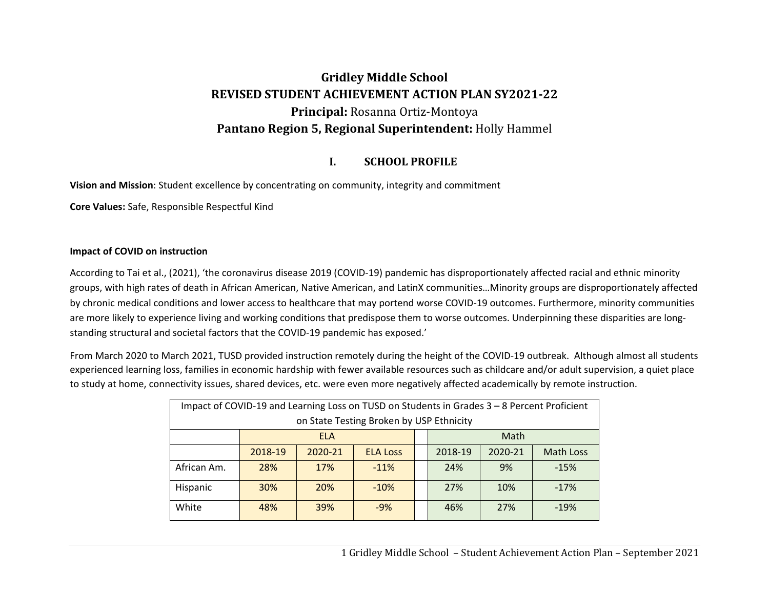# **Gridley Middle School REVISED STUDENT ACHIEVEMENT ACTION PLAN SY2021‐22 Principal:** Rosanna Ortiz-Montoya **Pantano Region 5, Regional Superintendent:** Holly Hammel

#### **I.SCHOOL PROFILE**

**Vision and Mission**: Student excellence by concentrating on community, integrity and commitment

**Core Values:** Safe, Responsible Respectful Kind

#### **Impact of COVID on instruction**

According to Tai et al., (2021), 'the coronavirus disease 2019 (COVID‐19) pandemic has disproportionately affected racial and ethnic minority groups, with high rates of death in African American, Native American, and LatinX communities…Minority groups are disproportionately affected by chronic medical conditions and lower access to healthcare that may portend worse COVID‐19 outcomes. Furthermore, minority communities are more likely to experience living and working conditions that predispose them to worse outcomes. Underpinning these disparities are longstanding structural and societal factors that the COVID‐19 pandemic has exposed.'

From March 2020 to March 2021, TUSD provided instruction remotely during the height of the COVID‐19 outbreak. Although almost all students experienced learning loss, families in economic hardship with fewer available resources such as childcare and/or adult supervision, a quiet place to study at home, connectivity issues, shared devices, etc. were even more negatively affected academically by remote instruction.

| Impact of COVID-19 and Learning Loss on TUSD on Students in Grades 3 - 8 Percent Proficient |            |            |                                          |  |         |         |                  |
|---------------------------------------------------------------------------------------------|------------|------------|------------------------------------------|--|---------|---------|------------------|
|                                                                                             |            |            | on State Testing Broken by USP Ethnicity |  |         |         |                  |
|                                                                                             |            | ELA        |                                          |  |         | Math    |                  |
|                                                                                             | 2018-19    | 2020-21    | <b>ELA Loss</b>                          |  | 2018-19 | 2020-21 | <b>Math Loss</b> |
| African Am.                                                                                 | 28%        | 17%        | $-11%$                                   |  | 24%     | 9%      | $-15%$           |
| Hispanic                                                                                    | <b>30%</b> | <b>20%</b> | $-10%$                                   |  | 27%     | 10%     | $-17%$           |
| White                                                                                       | 48%        | 39%        | $-9%$                                    |  | 46%     | 27%     | $-19%$           |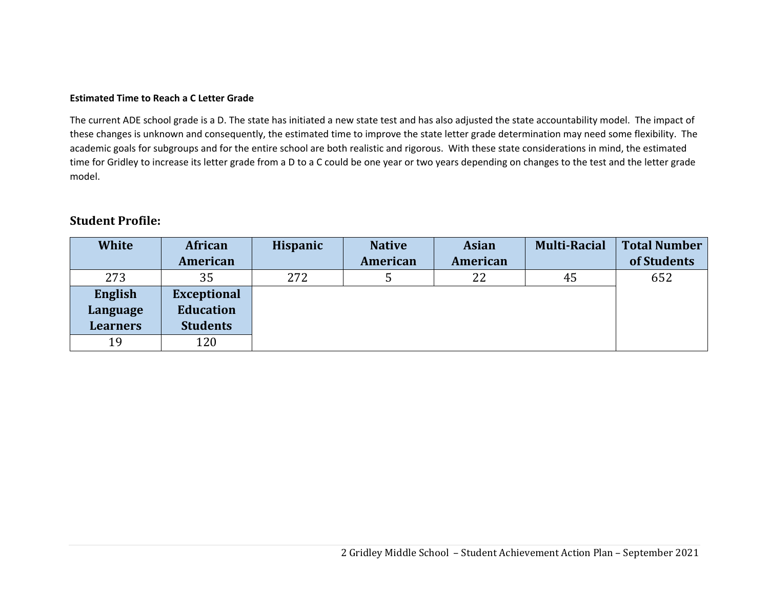#### **Estimated Time to Reach a C Letter Grade**

The current ADE school grade is a D. The state has initiated a new state test and has also adjusted the state accountability model. The impact of these changes is unknown and consequently, the estimated time to improve the state letter grade determination may need some flexibility. The academic goals for subgroups and for the entire school are both realistic and rigorous. With these state considerations in mind, the estimated time for Gridley to increase its letter grade from a D to a C could be one year or two years depending on changes to the test and the letter grade model.

## **Student Profile:**

| <b>White</b>    | African            | Hispanic | <b>Native</b> | <b>Asian</b> | <b>Multi-Racial</b> | <b>Total Number</b> |
|-----------------|--------------------|----------|---------------|--------------|---------------------|---------------------|
|                 | American           |          | American      | American     |                     | of Students         |
| 273             | 35                 | 272      |               | 22           | 45                  | 652                 |
| English         | <b>Exceptional</b> |          |               |              |                     |                     |
| Language        | <b>Education</b>   |          |               |              |                     |                     |
| <b>Learners</b> | <b>Students</b>    |          |               |              |                     |                     |
| 19              | 120                |          |               |              |                     |                     |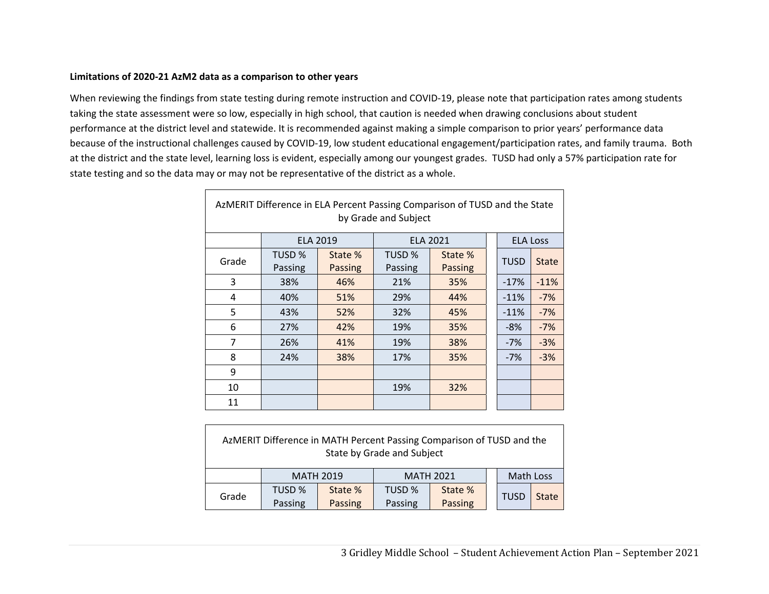#### **Limitations of 2020‐21 AzM2 data as a comparison to other years**

 $\Gamma$ 

When reviewing the findings from state testing during remote instruction and COVID‐19, please note that participation rates among students taking the state assessment were so low, especially in high school, that caution is needed when drawing conclusions about student performance at the district level and statewide. It is recommended against making a simple comparison to prior years' performance data because of the instructional challenges caused by COVID‐19, low student educational engagement/participation rates, and family trauma. Both at the district and the state level, learning loss is evident, especially among our youngest grades. TUSD had only a 57% participation rate for state testing and so the data may or may not be representative of the district as a whole.

| AzMERIT Difference in ELA Percent Passing Comparison of TUSD and the State<br>by Grade and Subject |         |                 |         |                 |  |                 |              |  |  |
|----------------------------------------------------------------------------------------------------|---------|-----------------|---------|-----------------|--|-----------------|--------------|--|--|
|                                                                                                    |         | <b>ELA 2019</b> |         | <b>ELA 2021</b> |  | <b>ELA Loss</b> |              |  |  |
| Grade                                                                                              | TUSD %  | State %         | TUSD %  | State %         |  | <b>TUSD</b>     | <b>State</b> |  |  |
|                                                                                                    | Passing | Passing         | Passing | <b>Passing</b>  |  |                 |              |  |  |
| 3                                                                                                  | 38%     | 46%             | 21%     | 35%             |  | $-17%$          | $-11%$       |  |  |
| 4                                                                                                  | 40%     | 51%             | 29%     | 44%             |  | $-11%$          | $-7%$        |  |  |
| 5                                                                                                  | 43%     | 52%             | 32%     | 45%             |  | $-11%$          | $-7%$        |  |  |
| 6                                                                                                  | 27%     | 42%             | 19%     | 35%             |  | $-8%$           | $-7%$        |  |  |
| $\overline{7}$                                                                                     | 26%     | 41%             | 19%     | 38%             |  | $-7%$           | $-3%$        |  |  |
| 8                                                                                                  | 24%     | 38%             | 17%     | 35%             |  | $-7%$           | $-3%$        |  |  |
| 9                                                                                                  |         |                 |         |                 |  |                 |              |  |  |
| 10                                                                                                 |         |                 | 19%     | 32%             |  |                 |              |  |  |
| 11                                                                                                 |         |                 |         |                 |  |                 |              |  |  |

| AzMERIT Difference in MATH Percent Passing Comparison of TUSD and the<br>State by Grade and Subject |                  |         |                  |         |  |             |              |  |
|-----------------------------------------------------------------------------------------------------|------------------|---------|------------------|---------|--|-------------|--------------|--|
|                                                                                                     | <b>MATH 2019</b> |         | <b>MATH 2021</b> |         |  | Math Loss   |              |  |
| Grade                                                                                               | TUSD %           | State % | TUSD %           | State % |  | <b>TUSD</b> | <b>State</b> |  |
|                                                                                                     | Passing          | Passing | Passing          | Passing |  |             |              |  |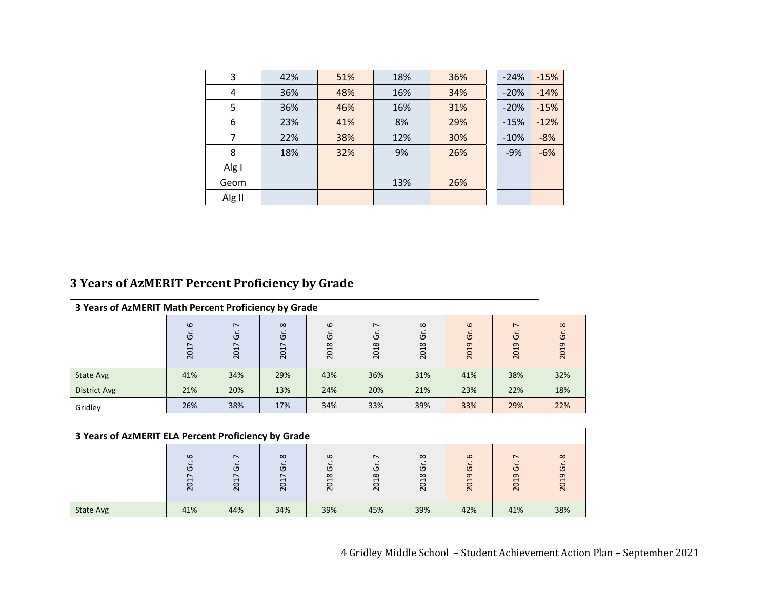| 3      | 42% | 51% | 18% | 36% | $-24%$ | $-15%$ |
|--------|-----|-----|-----|-----|--------|--------|
| 4      | 36% | 48% | 16% | 34% | $-20%$ | $-14%$ |
| 5      | 36% | 46% | 16% | 31% | $-20%$ | $-15%$ |
| 6      | 23% | 41% | 8%  | 29% | $-15%$ | $-12%$ |
| 7      | 22% | 38% | 12% | 30% | $-10%$ | $-8%$  |
| 8      | 18% | 32% | 9%  | 26% | $-9%$  | $-6%$  |
| Alg I  |     |     |     |     |        |        |
| Geom   |     |     | 13% | 26% |        |        |
| Alg II |     |     |     |     |        |        |

## **3 Years of AzMERIT Percent Proficiency by Grade**

| 3 Years of AzMERIT Math Percent Proficiency by Grade |                           |                     |                           |                       |                                          |                                                                               |                              |                             |                           |
|------------------------------------------------------|---------------------------|---------------------|---------------------------|-----------------------|------------------------------------------|-------------------------------------------------------------------------------|------------------------------|-----------------------------|---------------------------|
|                                                      | $\omega$<br>O<br>∼<br>201 | $\sim$<br>ত<br>2017 | $\infty$<br>O<br>∼<br>201 | $\omega$<br>O<br>2018 | $\overline{ }$<br>$\overline{5}$<br>2018 | $\infty$<br>O<br>$\infty$<br>$\mathbf{\mathbf{\mathsf{H}}}$<br>$\overline{5}$ | $\omega$<br>$\sigma$<br>2019 | $\overline{ }$<br>O<br>2019 | $\infty$<br>O<br>თ<br>201 |
| State Avg                                            | 41%                       | 34%                 | 29%                       | 43%                   | 36%                                      | 31%                                                                           | 41%                          | 38%                         | 32%                       |
| District Avg                                         | 21%                       | 20%                 | 13%                       | 24%                   | 20%                                      | 21%                                                                           | 23%                          | 22%                         | 18%                       |
| Gridley                                              | 26%                       | 38%                 | 17%                       | 34%                   | 33%                                      | 39%                                                                           | 33%                          | 29%                         | 22%                       |

| 3 Years of AzMERIT ELA Percent Proficiency by Grade |                                             |               |                           |                                                                            |                                                      |                       |                                                                      |                                       |                       |
|-----------------------------------------------------|---------------------------------------------|---------------|---------------------------|----------------------------------------------------------------------------|------------------------------------------------------|-----------------------|----------------------------------------------------------------------|---------------------------------------|-----------------------|
|                                                     | $\omega$<br>פ<br>$\mathbf -$<br>O<br>$\sim$ | ∼<br>ō<br>201 | $\infty$<br>Ğ<br>∼<br>201 | $\omega$<br>פ<br>$\infty$<br>$\overline{\phantom{0}}$<br>$\circ$<br>$\sim$ | $\overline{\phantom{0}}$<br>פ<br>$\infty$<br>H<br>20 | $\infty$<br>Ğ<br>2018 | $\Omega$<br>$\circ$<br>$\sigma$<br>$\mathbf{\overline{d}}$<br>$\sim$ | $\overline{\phantom{0}}$<br>פ<br>2019 | $\infty$<br>O<br>2019 |
| State Avg                                           | 41%                                         | 44%           | 34%                       | 39%                                                                        | 45%                                                  | 39%                   | 42%                                                                  | 41%                                   | 38%                   |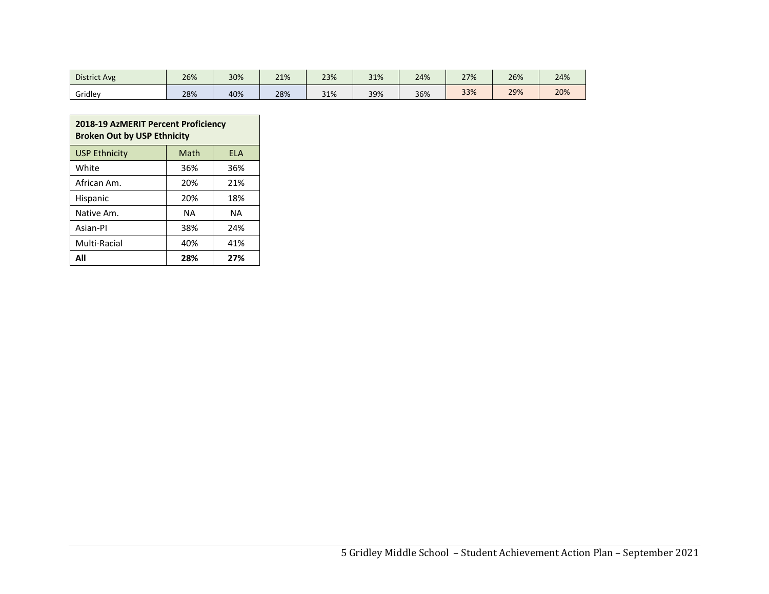| <b>District Avg</b> | 26% | 30% | 21% | 23% | 31% | 24% | 27% | 26% | 24% |
|---------------------|-----|-----|-----|-----|-----|-----|-----|-----|-----|
| Gridley             | 28% | 40% | 28% | 31% | 39% | 36% | 33% | 29% | 20% |

| <b>2018-19 AzMERIT Percent Proficiency</b><br><b>Broken Out by USP Ethnicity</b> |      |            |  |  |  |  |  |
|----------------------------------------------------------------------------------|------|------------|--|--|--|--|--|
| <b>USP Ethnicity</b>                                                             | Math | <b>ELA</b> |  |  |  |  |  |
| White                                                                            | 36%  | 36%        |  |  |  |  |  |
| African Am.                                                                      | 20%  | 21%        |  |  |  |  |  |
| <b>Hispanic</b>                                                                  | 20%  | 18%        |  |  |  |  |  |
| Native Am.                                                                       | ΝA   | ΝA         |  |  |  |  |  |
| Asian-Pl                                                                         | 38%  | 24%        |  |  |  |  |  |
| 40%<br>Multi-Racial<br>41%                                                       |      |            |  |  |  |  |  |
| ΔIΙ                                                                              | 28%  | 27%        |  |  |  |  |  |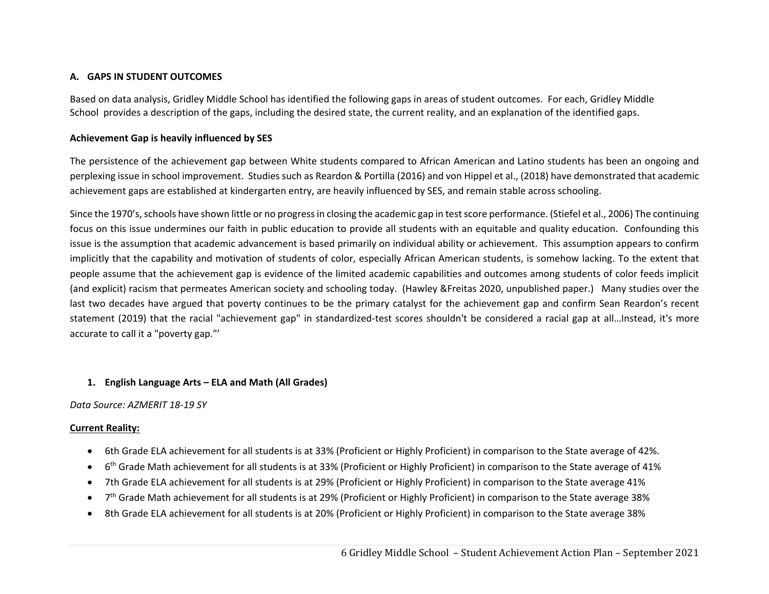#### **A. GAPS IN STUDENT OUTCOMES**

Based on data analysis, Gridley Middle School has identified the following gaps in areas of student outcomes. For each, Gridley Middle School provides a description of the gaps, including the desired state, the current reality, and an explanation of the identified gaps.

#### **Achievement Gap is heavily influenced by SES**

The persistence of the achievement gap between White students compared to African American and Latino students has been an ongoing and perplexing issue in school improvement. Studies such as Reardon & Portilla (2016) and von Hippel et al., (2018) have demonstrated that academic achievement gaps are established at kindergarten entry, are heavily influenced by SES, and remain stable across schooling.

Since the 1970's, schools have shown little or no progress in closing the academic gap in test score performance. (Stiefel et al., 2006) The continuing focus on this issue undermines our faith in public education to provide all students with an equitable and quality education. Confounding this issue is the assumption that academic advancement is based primarily on individual ability or achievement. This assumption appears to confirm implicitly that the capability and motivation of students of color, especially African American students, is somehow lacking. To the extent that people assume that the achievement gap is evidence of the limited academic capabilities and outcomes among students of color feeds implicit (and explicit) racism that permeates American society and schooling today. (Hawley &Freitas 2020, unpublished paper.) Many studies over the last two decades have argued that poverty continues to be the primary catalyst for the achievement gap and confirm Sean Reardon's recent statement (2019) that the racial "achievement gap" in standardized‐test scores shouldn't be considered a racial gap at all…Instead, it's more accurate to call it a "poverty gap."'

## **1. English Language Arts – ELA and Math (All Grades)**

## *Data Source: AZMERIT 18‐19 SY*

## **Current Reality:**

- 6th Grade ELA achievement for all students is at 33% (Proficient or Highly Proficient) in comparison to the State average of 42%.
- $\bullet$ 6<sup>th</sup> Grade Math achievement for all students is at 33% (Proficient or Highly Proficient) in comparison to the State average of 41%
- $\bullet$ 7th Grade ELA achievement for all students is at 29% (Proficient or Highly Proficient) in comparison to the State average 41%
- $\bullet$ 7<sup>th</sup> Grade Math achievement for all students is at 29% (Proficient or Highly Proficient) in comparison to the State average 38%
- $\bullet$ 8th Grade ELA achievement for all students is at 20% (Proficient or Highly Proficient) in comparison to the State average 38%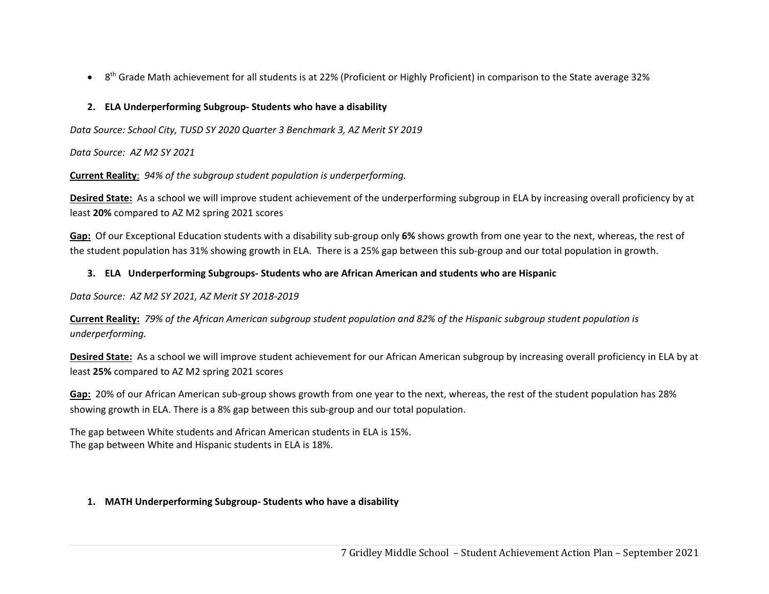$\bullet$ 8<sup>th</sup> Grade Math achievement for all students is at 22% (Proficient or Highly Proficient) in comparison to the State average 32%

## **2. ELA Underperforming Subgroup‐ Students who have a disability**

*Data Source: School City, TUSD SY 2020 Quarter 3 Benchmark 3, AZ Merit SY 2019* 

*Data Source: AZ M2 SY 2021* 

**Current Reality**: *94% of the subgroup student population is underperforming.*

**Desired State:** As a school we will improve student achievement of the underperforming subgroup in ELA by increasing overall proficiency by at least **20%** compared to AZ M2 spring 2021 scores

**Gap:** Of our Exceptional Education students with a disability sub‐group only **6%** shows growth from one year to the next, whereas, the rest of the student population has 31% showing growth in ELA. There is a 25% gap between this sub‐group and our total population in growth.

## **3. ELA Underperforming Subgroups‐ Students who are African American and students who are Hispanic**

*Data Source: AZ M2 SY 2021, AZ Merit SY 2018‐2019* 

**Current Reality:** *79% of the African American subgroup student population and 82% of the Hispanic subgroup student population is underperforming.* 

Desired State: As a school we will improve student achievement for our African American subgroup by increasing overall proficiency in ELA by at least **25%** compared to AZ M2 spring 2021 scores

Gap: 20% of our African American sub-group shows growth from one year to the next, whereas, the rest of the student population has 28% showing growth in ELA. There is a 8% gap between this sub-group and our total population.

The gap between White students and African American students in ELA is 15%. The gap between White and Hispanic students in ELA is 18%.

## **1. MATH Underperforming Subgroup‐ Students who have a disability**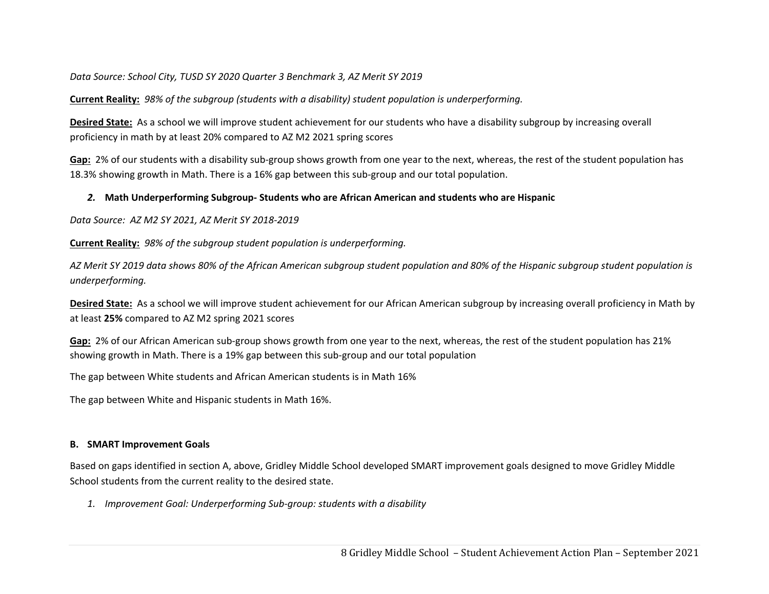*Data Source: School City, TUSD SY 2020 Quarter 3 Benchmark 3, AZ Merit SY 2019* 

**Current Reality:** *98% of the subgroup (students with a disability) student population is underperforming.*

**Desired State:** As a school we will improve student achievement for our students who have a disability subgroup by increasing overall proficiency in math by at least 20% compared to AZ M2 2021 spring scores

**Gap:** 2% of our students with a disability sub‐group shows growth from one year to the next, whereas, the rest of the student population has 18.3% showing growth in Math. There is a 16% gap between this sub‐group and our total population.

## *2.* **Math Underperforming Subgroup‐ Students who are African American and students who are Hispanic**

*Data Source: AZ M2 SY 2021, AZ Merit SY 2018‐2019* 

**Current Reality:** *98% of the subgroup student population is underperforming.*

*AZ Merit SY 2019 data shows 80% of the African American subgroup student population and 80% of the Hispanic subgroup student population is underperforming.* 

**Desired State:** As a school we will improve student achievement for our African American subgroup by increasing overall proficiency in Math by at least **25%** compared to AZ M2 spring 2021 scores

**Gap:** 2% of our African American sub‐group shows growth from one year to the next, whereas, the rest of the student population has 21% showing growth in Math. There is a 19% gap between this sub-group and our total population

The gap between White students and African American students is in Math 16%

The gap between White and Hispanic students in Math 16%.

## **B. SMART Improvement Goals**

Based on gaps identified in section A, above, Gridley Middle School developed SMART improvement goals designed to move Gridley Middle School students from the current reality to the desired state.

*1. Improvement Goal: Underperforming Sub‐group: students with a disability*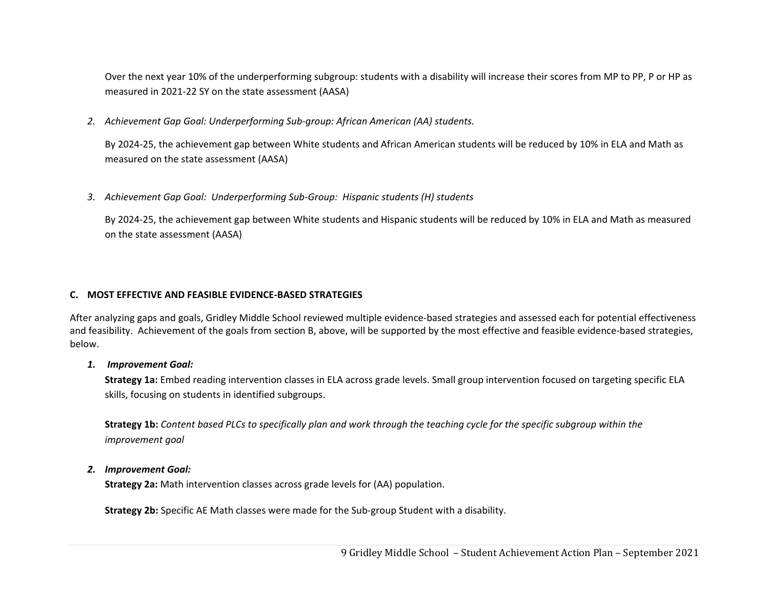Over the next year 10% of the underperforming subgroup: students with a disability will increase their scores from MP to PP, P or HP as measured in 2021‐22 SY on the state assessment (AASA)

*2. Achievement Gap Goal: Underperforming Sub‐group: African American (AA) students.* 

By 2024‐25, the achievement gap between White students and African American students will be reduced by 10% in ELA and Math as measured on the state assessment (AASA)

*3. Achievement Gap Goal: Underperforming Sub‐Group: Hispanic students (H) students*

By 2024‐25, the achievement gap between White students and Hispanic students will be reduced by 10% in ELA and Math as measured on the state assessment (AASA)

## **C. MOST EFFECTIVE AND FEASIBLE EVIDENCE‐BASED STRATEGIES**

After analyzing gaps and goals, Gridley Middle School reviewed multiple evidence‐based strategies and assessed each for potential effectiveness and feasibility. Achievement of the goals from section B, above, will be supported by the most effective and feasible evidence-based strategies, below.

## *1. Improvement Goal:*

**Strategy 1a:** Embed reading intervention classes in ELA across grade levels. Small group intervention focused on targeting specific ELA skills, focusing on students in identified subgroups.

**Strategy 1b:** *Content based PLCs to specifically plan and work through the teaching cycle for the specific subgroup within the improvement goal*

#### *2. Improvement Goal:*

**Strategy 2a:** Math intervention classes across grade levels for (AA) population.

**Strategy 2b:** Specific AE Math classes were made for the Sub‐group Student with a disability.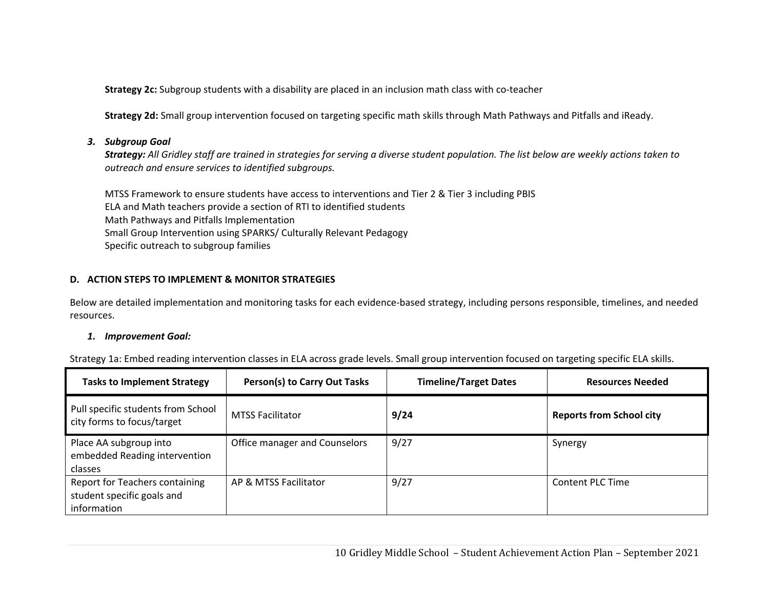Strategy 2c: Subgroup students with a disability are placed in an inclusion math class with co-teacher

**Strategy 2d:** Small group intervention focused on targeting specific math skills through Math Pathways and Pitfalls and iReady.

## *3. Subgroup Goal*

*Strategy: All Gridley staff are trained in strategies for serving a diverse student population. The list below are weekly actions taken to outreach and ensure services to identified subgroups.* 

MTSS Framework to ensure students have access to interventions and Tier 2 & Tier 3 including PBIS ELA and Math teachers provide a section of RTI to identified students Math Pathways and Pitfalls Implementation Small Group Intervention using SPARKS/ Culturally Relevant Pedagogy Specific outreach to subgroup families

## **D. ACTION STEPS TO IMPLEMENT & MONITOR STRATEGIES**

Below are detailed implementation and monitoring tasks for each evidence‐based strategy, including persons responsible, timelines, and needed resources.

## *1. Improvement Goal:*

Strategy 1a: Embed reading intervention classes in ELA across grade levels. Small group intervention focused on targeting specific ELA skills.

| <b>Tasks to Implement Strategy</b>                                                 | Person(s) to Carry Out Tasks  | <b>Timeline/Target Dates</b> | <b>Resources Needed</b>         |
|------------------------------------------------------------------------------------|-------------------------------|------------------------------|---------------------------------|
| Pull specific students from School<br>city forms to focus/target                   | <b>MTSS Facilitator</b>       | 9/24                         | <b>Reports from School city</b> |
| Place AA subgroup into<br>embedded Reading intervention<br>classes                 | Office manager and Counselors | 9/27                         | Synergy                         |
| <b>Report for Teachers containing</b><br>student specific goals and<br>information | AP & MTSS Facilitator         | 9/27                         | Content PLC Time                |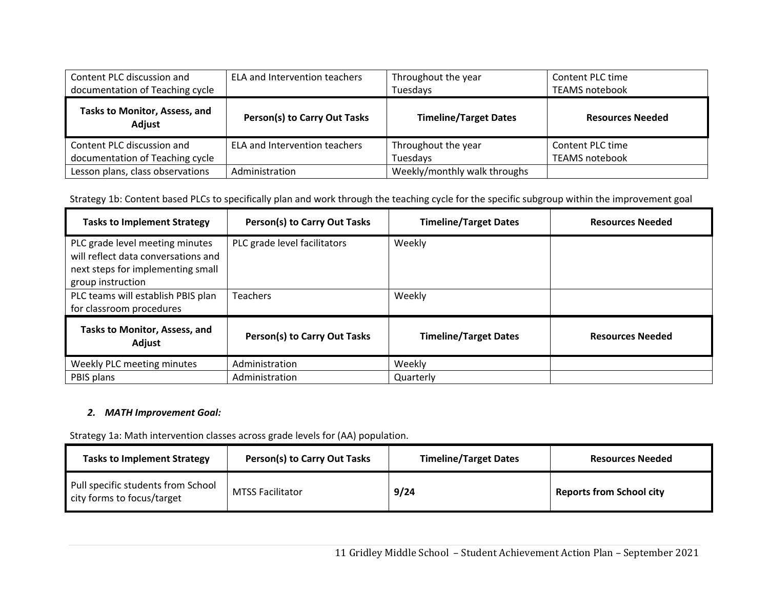| Content PLC discussion and<br>documentation of Teaching cycle | ELA and Intervention teachers       | Throughout the year<br>Tuesdays | Content PLC time<br><b>TEAMS notebook</b> |
|---------------------------------------------------------------|-------------------------------------|---------------------------------|-------------------------------------------|
| Tasks to Monitor, Assess, and<br>Adjust                       | <b>Person(s) to Carry Out Tasks</b> | <b>Timeline/Target Dates</b>    | <b>Resources Needed</b>                   |
| Content PLC discussion and                                    | ELA and Intervention teachers       | Throughout the year             | Content PLC time                          |
| documentation of Teaching cycle                               |                                     | Tuesdays                        | <b>TEAMS notebook</b>                     |
| Lesson plans, class observations                              | Administration                      | Weekly/monthly walk throughs    |                                           |

## Strategy 1b: Content based PLCs to specifically plan and work through the teaching cycle for the specific subgroup within the improvement goal

| <b>Tasks to Implement Strategy</b>                                                                                               | Person(s) to Carry Out Tasks | <b>Timeline/Target Dates</b> | <b>Resources Needed</b> |
|----------------------------------------------------------------------------------------------------------------------------------|------------------------------|------------------------------|-------------------------|
| PLC grade level meeting minutes<br>will reflect data conversations and<br>next steps for implementing small<br>group instruction | PLC grade level facilitators | Weekly                       |                         |
| PLC teams will establish PBIS plan<br>for classroom procedures                                                                   | <b>Teachers</b>              | Weekly                       |                         |
| <b>Tasks to Monitor, Assess, and</b><br>Adjust                                                                                   | Person(s) to Carry Out Tasks | <b>Timeline/Target Dates</b> | <b>Resources Needed</b> |
| Weekly PLC meeting minutes                                                                                                       | Administration               | Weekly                       |                         |
| PBIS plans                                                                                                                       | Administration               | Quarterly                    |                         |

#### *2. MATH Improvement Goal:*

Strategy 1a: Math intervention classes across grade levels for (AA) population.

| <b>Tasks to Implement Strategy</b>                               | Person(s) to Carry Out Tasks | <b>Timeline/Target Dates</b> | <b>Resources Needed</b>         |
|------------------------------------------------------------------|------------------------------|------------------------------|---------------------------------|
| Pull specific students from School<br>city forms to focus/target | <b>MTSS Facilitator</b>      | 9/24                         | <b>Reports from School city</b> |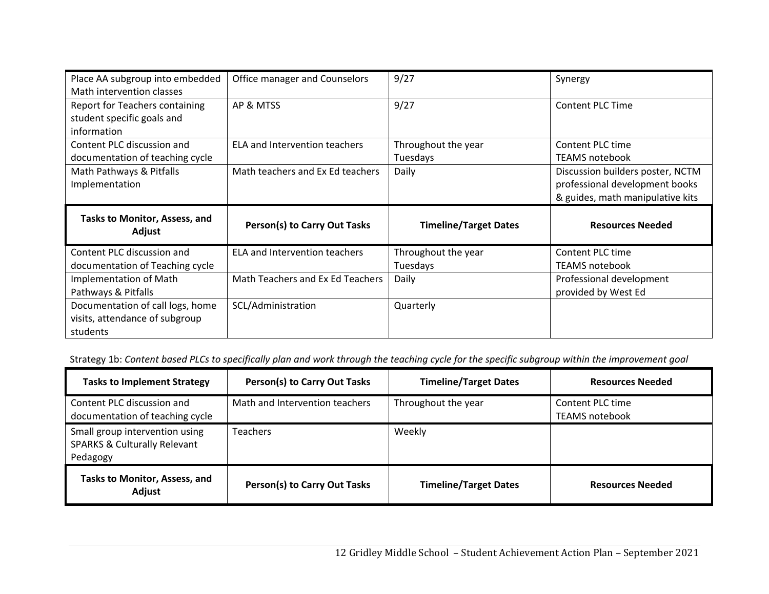| Place AA subgroup into embedded<br>Math intervention classes                       | Office manager and Counselors       | 9/27                            | Synergy                                                                                                |
|------------------------------------------------------------------------------------|-------------------------------------|---------------------------------|--------------------------------------------------------------------------------------------------------|
| <b>Report for Teachers containing</b><br>student specific goals and<br>information | AP & MTSS                           | 9/27                            | <b>Content PLC Time</b>                                                                                |
| Content PLC discussion and<br>documentation of teaching cycle                      | ELA and Intervention teachers       | Throughout the year<br>Tuesdays | Content PLC time<br>TEAMS notebook                                                                     |
| Math Pathways & Pitfalls<br>Implementation                                         | Math teachers and Ex Ed teachers    | Daily                           | Discussion builders poster, NCTM<br>professional development books<br>& guides, math manipulative kits |
|                                                                                    |                                     |                                 |                                                                                                        |
| Tasks to Monitor, Assess, and<br>Adjust                                            | <b>Person(s) to Carry Out Tasks</b> | <b>Timeline/Target Dates</b>    | <b>Resources Needed</b>                                                                                |
| Content PLC discussion and<br>documentation of Teaching cycle                      | ELA and Intervention teachers       | Throughout the year<br>Tuesdays | Content PLC time<br><b>TEAMS notebook</b>                                                              |
| <b>Implementation of Math</b><br>Pathways & Pitfalls                               | Math Teachers and Ex Ed Teachers    | Daily                           | Professional development<br>provided by West Ed                                                        |

Strategy 1b: *Content based PLCs to specifically plan and work through the teaching cycle for the specific subgroup within the improvement goal*

| <b>Tasks to Implement Strategy</b>                                                    | <b>Person(s) to Carry Out Tasks</b> | <b>Timeline/Target Dates</b> | <b>Resources Needed</b>            |
|---------------------------------------------------------------------------------------|-------------------------------------|------------------------------|------------------------------------|
| Content PLC discussion and<br>documentation of teaching cycle                         | Math and Intervention teachers      | Throughout the year          | Content PLC time<br>TEAMS notebook |
| Small group intervention using<br><b>SPARKS &amp; Culturally Relevant</b><br>Pedagogy | Teachers                            | Weekly                       |                                    |
| Tasks to Monitor, Assess, and<br>Adjust                                               | <b>Person(s) to Carry Out Tasks</b> | <b>Timeline/Target Dates</b> | <b>Resources Needed</b>            |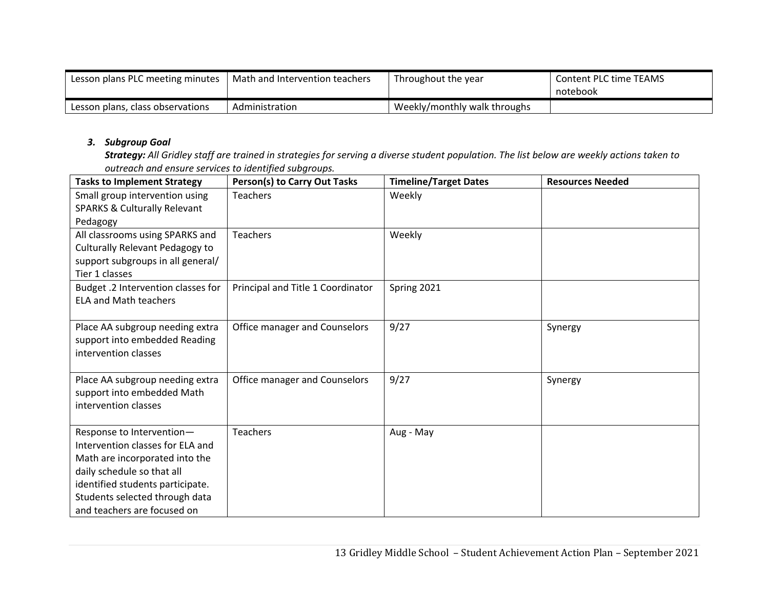| Lesson plans PLC meeting minutes | Math and Intervention teachers | Throughout the year          | <b>Content PLC time TEAMS</b> |
|----------------------------------|--------------------------------|------------------------------|-------------------------------|
|                                  |                                |                              | notebook                      |
| Lesson plans, class observations | Administration                 | Weekly/monthly walk throughs |                               |

#### *3. Subgroup Goal*

*Strategy: All Gridley staff are trained in strategies for serving a diverse student population. The list below are weekly actions taken to outreach and ensure services to identified subgroups.* 

| <b>Tasks to Implement Strategy</b>                                                                                                                                                                                                 | <b>Person(s) to Carry Out Tasks</b> | <b>Timeline/Target Dates</b> | <b>Resources Needed</b> |
|------------------------------------------------------------------------------------------------------------------------------------------------------------------------------------------------------------------------------------|-------------------------------------|------------------------------|-------------------------|
| Small group intervention using<br><b>SPARKS &amp; Culturally Relevant</b>                                                                                                                                                          | <b>Teachers</b>                     | Weekly                       |                         |
| Pedagogy<br>All classrooms using SPARKS and<br>Culturally Relevant Pedagogy to<br>support subgroups in all general/<br>Tier 1 classes                                                                                              | <b>Teachers</b>                     | Weekly                       |                         |
| Budget .2 Intervention classes for<br><b>ELA and Math teachers</b>                                                                                                                                                                 | Principal and Title 1 Coordinator   | Spring 2021                  |                         |
| Place AA subgroup needing extra<br>support into embedded Reading<br>intervention classes                                                                                                                                           | Office manager and Counselors       | 9/27                         | Synergy                 |
| Place AA subgroup needing extra<br>support into embedded Math<br>intervention classes                                                                                                                                              | Office manager and Counselors       | 9/27                         | Synergy                 |
| Response to Intervention-<br>Intervention classes for ELA and<br>Math are incorporated into the<br>daily schedule so that all<br>identified students participate.<br>Students selected through data<br>and teachers are focused on | <b>Teachers</b>                     | Aug - May                    |                         |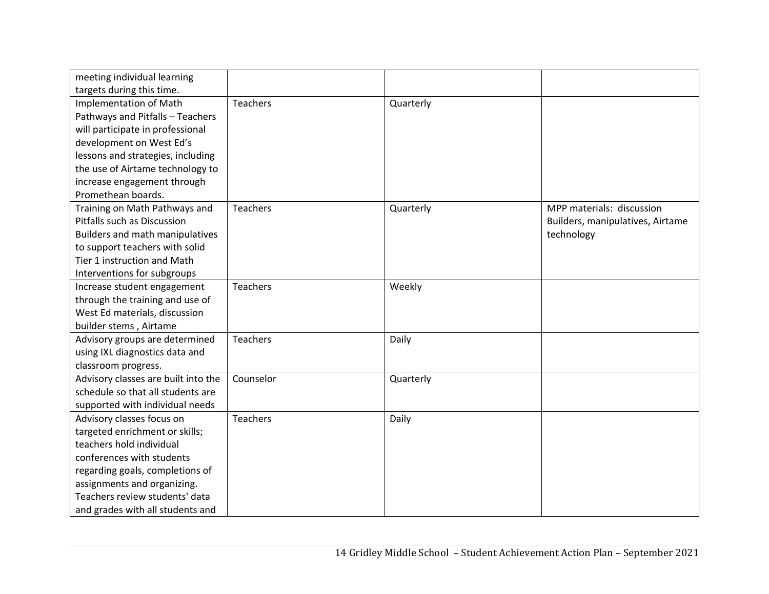| meeting individual learning         |                 |           |                                  |
|-------------------------------------|-----------------|-----------|----------------------------------|
| targets during this time.           |                 |           |                                  |
| <b>Implementation of Math</b>       | Teachers        | Quarterly |                                  |
| Pathways and Pitfalls - Teachers    |                 |           |                                  |
| will participate in professional    |                 |           |                                  |
| development on West Ed's            |                 |           |                                  |
| lessons and strategies, including   |                 |           |                                  |
| the use of Airtame technology to    |                 |           |                                  |
| increase engagement through         |                 |           |                                  |
| Promethean boards.                  |                 |           |                                  |
| Training on Math Pathways and       | Teachers        | Quarterly | MPP materials: discussion        |
| Pitfalls such as Discussion         |                 |           | Builders, manipulatives, Airtame |
| Builders and math manipulatives     |                 |           | technology                       |
| to support teachers with solid      |                 |           |                                  |
| Tier 1 instruction and Math         |                 |           |                                  |
| Interventions for subgroups         |                 |           |                                  |
| Increase student engagement         | <b>Teachers</b> | Weekly    |                                  |
| through the training and use of     |                 |           |                                  |
| West Ed materials, discussion       |                 |           |                                  |
| builder stems, Airtame              |                 |           |                                  |
| Advisory groups are determined      | Teachers        | Daily     |                                  |
| using IXL diagnostics data and      |                 |           |                                  |
| classroom progress.                 |                 |           |                                  |
| Advisory classes are built into the | Counselor       | Quarterly |                                  |
| schedule so that all students are   |                 |           |                                  |
| supported with individual needs     |                 |           |                                  |
| Advisory classes focus on           | Teachers        | Daily     |                                  |
| targeted enrichment or skills;      |                 |           |                                  |
| teachers hold individual            |                 |           |                                  |
| conferences with students           |                 |           |                                  |
| regarding goals, completions of     |                 |           |                                  |
| assignments and organizing.         |                 |           |                                  |
| Teachers review students' data      |                 |           |                                  |
| and grades with all students and    |                 |           |                                  |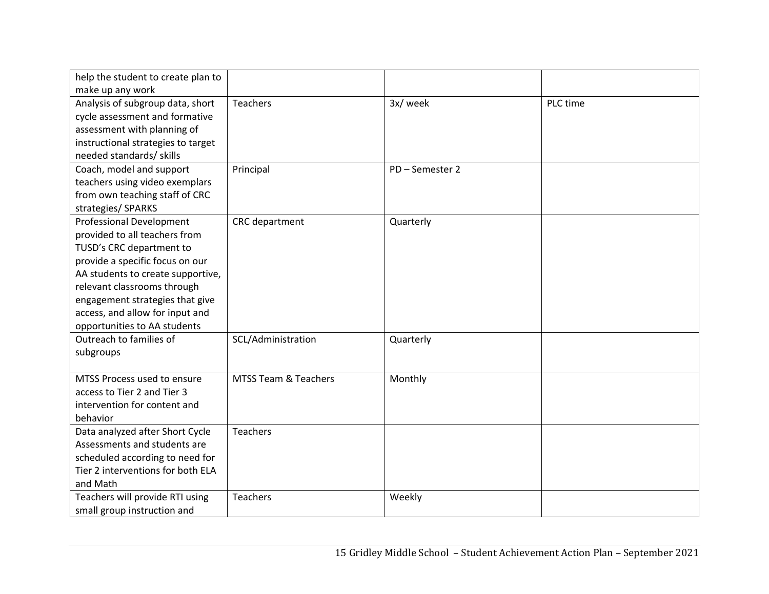| help the student to create plan to |                      |                 |          |
|------------------------------------|----------------------|-----------------|----------|
| make up any work                   |                      |                 |          |
| Analysis of subgroup data, short   | Teachers             | 3x/week         | PLC time |
| cycle assessment and formative     |                      |                 |          |
| assessment with planning of        |                      |                 |          |
| instructional strategies to target |                      |                 |          |
| needed standards/ skills           |                      |                 |          |
| Coach, model and support           | Principal            | PD - Semester 2 |          |
| teachers using video exemplars     |                      |                 |          |
| from own teaching staff of CRC     |                      |                 |          |
| strategies/ SPARKS                 |                      |                 |          |
| <b>Professional Development</b>    | CRC department       | Quarterly       |          |
| provided to all teachers from      |                      |                 |          |
| TUSD's CRC department to           |                      |                 |          |
| provide a specific focus on our    |                      |                 |          |
| AA students to create supportive,  |                      |                 |          |
| relevant classrooms through        |                      |                 |          |
| engagement strategies that give    |                      |                 |          |
| access, and allow for input and    |                      |                 |          |
| opportunities to AA students       |                      |                 |          |
| Outreach to families of            | SCL/Administration   | Quarterly       |          |
| subgroups                          |                      |                 |          |
|                                    |                      |                 |          |
| MTSS Process used to ensure        | MTSS Team & Teachers | Monthly         |          |
| access to Tier 2 and Tier 3        |                      |                 |          |
| intervention for content and       |                      |                 |          |
| behavior                           |                      |                 |          |
| Data analyzed after Short Cycle    | Teachers             |                 |          |
| Assessments and students are       |                      |                 |          |
| scheduled according to need for    |                      |                 |          |
| Tier 2 interventions for both ELA  |                      |                 |          |
| and Math                           |                      |                 |          |
| Teachers will provide RTI using    | <b>Teachers</b>      | Weekly          |          |
| small group instruction and        |                      |                 |          |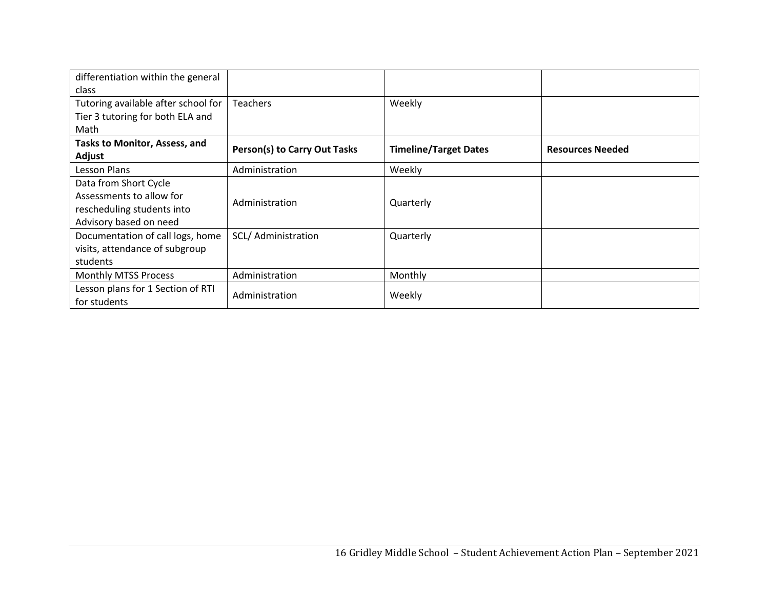| differentiation within the general<br>class                                                               |                                     |                              |                         |
|-----------------------------------------------------------------------------------------------------------|-------------------------------------|------------------------------|-------------------------|
| Tutoring available after school for<br>Tier 3 tutoring for both ELA and<br>Math                           | <b>Teachers</b>                     | Weekly                       |                         |
| <b>Tasks to Monitor, Assess, and</b><br>Adjust                                                            | <b>Person(s) to Carry Out Tasks</b> | <b>Timeline/Target Dates</b> | <b>Resources Needed</b> |
| Lesson Plans                                                                                              | Administration                      | Weekly                       |                         |
| Data from Short Cycle<br>Assessments to allow for<br>rescheduling students into<br>Advisory based on need | Administration                      | Quarterly                    |                         |
| Documentation of call logs, home<br>visits, attendance of subgroup<br>students                            | SCL/ Administration                 | Quarterly                    |                         |
| Monthly MTSS Process                                                                                      | Administration                      | Monthly                      |                         |
| Lesson plans for 1 Section of RTI<br>for students                                                         | Administration                      | Weekly                       |                         |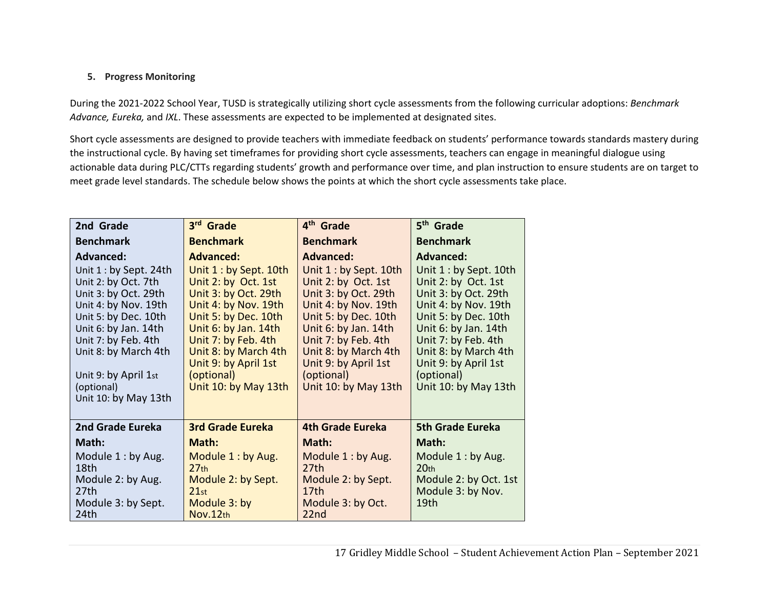## **5. Progress Monitoring**

During the 2021‐2022 School Year, TUSD is strategically utilizing short cycle assessments from the following curricular adoptions: *Benchmark Advance, Eureka,* and *IXL*. These assessments are expected to be implemented at designated sites.

Short cycle assessments are designed to provide teachers with immediate feedback on students' performance towards standards mastery during the instructional cycle. By having set timeframes for providing short cycle assessments, teachers can engage in meaningful dialogue using actionable data during PLC/CTTs regarding students' growth and performance over time, and plan instruction to ensure students are on target to meet grade level standards. The schedule below shows the points at which the short cycle assessments take place.

| 2nd Grade                                                                                                                                                                                                                                                               | 3 <sup>rd</sup> Grade                                                                                                                                                                                                                                                          | 4 <sup>th</sup> Grade                                                                                                                                                                                                                                                          | 5 <sup>th</sup> Grade                                                                                                                                                                                                                                                          |
|-------------------------------------------------------------------------------------------------------------------------------------------------------------------------------------------------------------------------------------------------------------------------|--------------------------------------------------------------------------------------------------------------------------------------------------------------------------------------------------------------------------------------------------------------------------------|--------------------------------------------------------------------------------------------------------------------------------------------------------------------------------------------------------------------------------------------------------------------------------|--------------------------------------------------------------------------------------------------------------------------------------------------------------------------------------------------------------------------------------------------------------------------------|
| <b>Benchmark</b>                                                                                                                                                                                                                                                        | <b>Benchmark</b>                                                                                                                                                                                                                                                               | <b>Benchmark</b>                                                                                                                                                                                                                                                               | <b>Benchmark</b>                                                                                                                                                                                                                                                               |
| Advanced:<br>Unit 1 : by Sept. 24th<br>Unit 2: by Oct. 7th<br>Unit 3: by Oct. 29th<br>Unit 4: by Nov. 19th<br>Unit 5: by Dec. 10th<br>Unit 6: by Jan. 14th<br>Unit 7: by Feb. 4th<br>Unit 8: by March 4th<br>Unit 9: by April 1st<br>(optional)<br>Unit 10: by May 13th | <b>Advanced:</b><br>Unit 1 : by Sept. 10th<br>Unit 2: by Oct. 1st<br>Unit 3: by Oct. 29th<br>Unit 4: by Nov. 19th<br>Unit 5: by Dec. 10th<br>Unit 6: by Jan. 14th<br>Unit 7: by Feb. 4th<br>Unit 8: by March 4th<br>Unit 9: by April 1st<br>(optional)<br>Unit 10: by May 13th | <b>Advanced:</b><br>Unit 1 : by Sept. 10th<br>Unit 2: by Oct. 1st<br>Unit 3: by Oct. 29th<br>Unit 4: by Nov. 19th<br>Unit 5: by Dec. 10th<br>Unit 6: by Jan. 14th<br>Unit 7: by Feb. 4th<br>Unit 8: by March 4th<br>Unit 9: by April 1st<br>(optional)<br>Unit 10: by May 13th | <b>Advanced:</b><br>Unit 1 : by Sept. 10th<br>Unit 2: by Oct. 1st<br>Unit 3: by Oct. 29th<br>Unit 4: by Nov. 19th<br>Unit 5: by Dec. 10th<br>Unit 6: by Jan. 14th<br>Unit 7: by Feb. 4th<br>Unit 8: by March 4th<br>Unit 9: by April 1st<br>(optional)<br>Unit 10: by May 13th |
| 2nd Grade Eureka                                                                                                                                                                                                                                                        | <b>3rd Grade Eureka</b>                                                                                                                                                                                                                                                        | <b>4th Grade Eureka</b>                                                                                                                                                                                                                                                        | <b>5th Grade Eureka</b>                                                                                                                                                                                                                                                        |
| Math:<br>Module 1: by Aug.<br>18th<br>Module 2: by Aug.<br>27th<br>Module 3: by Sept.<br>24th                                                                                                                                                                           | Math:<br>Module 1: by Aug.<br>27 <sub>th</sub><br>Module 2: by Sept.<br>21st<br>Module 3: by<br>Nov.12th                                                                                                                                                                       | Math:<br>Module 1: by Aug.<br>27th<br>Module 2: by Sept.<br>17 <sub>th</sub><br>Module 3: by Oct.<br>22nd                                                                                                                                                                      | Math:<br>Module 1: by Aug.<br>20 <sub>th</sub><br>Module 2: by Oct. 1st<br>Module 3: by Nov.<br>19 <sub>th</sub>                                                                                                                                                               |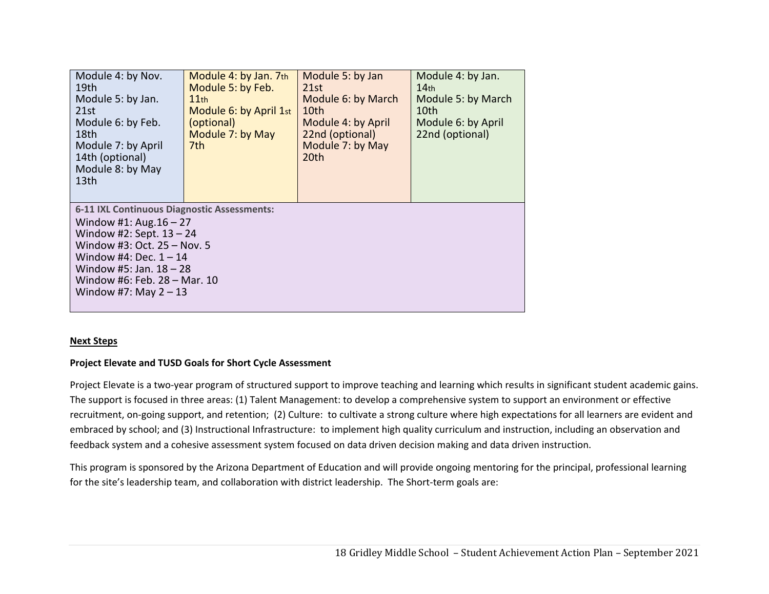| Module 4: by Nov.<br>19th<br>Module 5: by Jan.<br>21st<br>Module 6: by Feb.<br>18th<br>Module 7: by April<br>14th (optional)<br>Module 8: by May<br>13th                                                                                                  | Module 4: by Jan. 7th<br>Module 5: by Feb.<br>$11$ th<br>Module 6: by April 1st<br>(optional)<br>Module 7: by May<br>7th | Module 5: by Jan<br>21st<br>Module 6: by March<br>10th<br>Module 4: by April<br>22nd (optional)<br>Module 7: by May<br>20th | Module 4: by Jan.<br>14 <sub>th</sub><br>Module 5: by March<br>10th<br>Module 6: by April<br>22nd (optional) |
|-----------------------------------------------------------------------------------------------------------------------------------------------------------------------------------------------------------------------------------------------------------|--------------------------------------------------------------------------------------------------------------------------|-----------------------------------------------------------------------------------------------------------------------------|--------------------------------------------------------------------------------------------------------------|
| 6-11 IXL Continuous Diagnostic Assessments:<br>Window #1: Aug. $16 - 27$<br>Window #2: Sept. $13 - 24$<br>Window #3: Oct. 25 - Nov. 5<br>Window #4: Dec. $1 - 14$<br>Window #5: Jan. $18 - 28$<br>Window #6: Feb. 28 – Mar. 10<br>Window #7: May $2 - 13$ |                                                                                                                          |                                                                                                                             |                                                                                                              |

#### **Next Steps**

#### **Project Elevate and TUSD Goals for Short Cycle Assessment**

Project Elevate is a two-year program of structured support to improve teaching and learning which results in significant student academic gains. The support is focused in three areas: (1) Talent Management: to develop a comprehensive system to support an environment or effective recruitment, on‐going support, and retention; (2) Culture: to cultivate a strong culture where high expectations for all learners are evident and embraced by school; and (3) Instructional Infrastructure: to implement high quality curriculum and instruction, including an observation and feedback system and a cohesive assessment system focused on data driven decision making and data driven instruction.

This program is sponsored by the Arizona Department of Education and will provide ongoing mentoring for the principal, professional learning for the site's leadership team, and collaboration with district leadership. The Short-term goals are: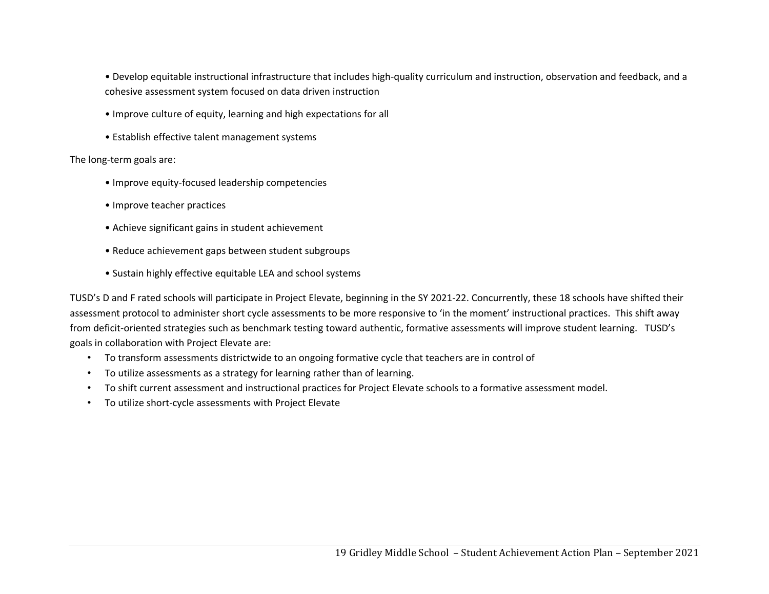• Develop equitable instructional infrastructure that includes high‐quality curriculum and instruction, observation and feedback, and a cohesive assessment system focused on data driven instruction

- Improve culture of equity, learning and high expectations for all
- Establish effective talent management systems

The long‐term goals are:

- Improve equity‐focused leadership competencies
- Improve teacher practices
- Achieve significant gains in student achievement
- Reduce achievement gaps between student subgroups
- Sustain highly effective equitable LEA and school systems

TUSD's D and F rated schools will participate in Project Elevate, beginning in the SY 2021-22. Concurrently, these 18 schools have shifted their assessment protocol to administer short cycle assessments to be more responsive to 'in the moment' instructional practices. This shift away from deficit-oriented strategies such as benchmark testing toward authentic, formative assessments will improve student learning. TUSD's goals in collaboration with Project Elevate are:

- To transform assessments districtwide to an ongoing formative cycle that teachers are in control of
- To utilize assessments as a strategy for learning rather than of learning.
- To shift current assessment and instructional practices for Project Elevate schools to a formative assessment model.
- To utilize short‐cycle assessments with Project Elevate